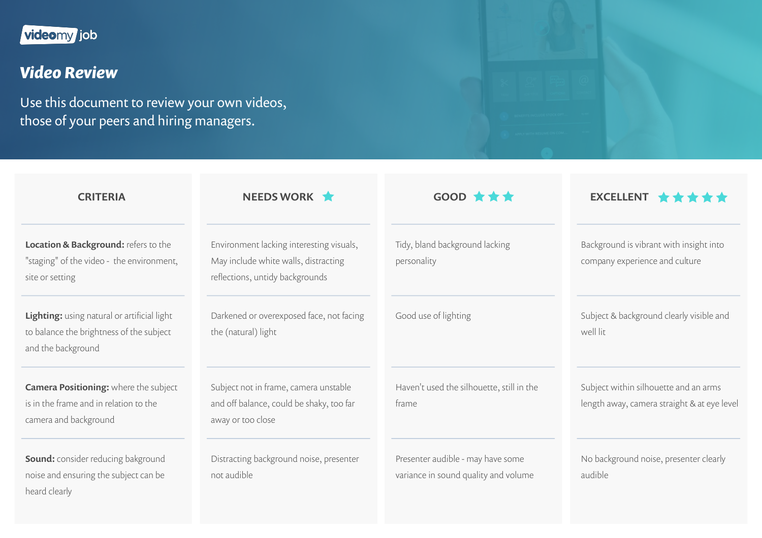## videomy job

## *Video Review*

Use this document to review your own videos, those of your peers and hiring managers.

| <b>CRITERIA</b>                                                                                                 | NEEDS WORK                                                                                                          | $GOOD \star \star \star$                                                  | EXCELLENT $\star \star \star \star \star$                                            |
|-----------------------------------------------------------------------------------------------------------------|---------------------------------------------------------------------------------------------------------------------|---------------------------------------------------------------------------|--------------------------------------------------------------------------------------|
| Location & Background: refers to the<br>"staging" of the video - the environment,<br>site or setting            | Environment lacking interesting visuals,<br>May include white walls, distracting<br>reflections, untidy backgrounds | Tidy, bland background lacking<br>personality                             | Background is vibrant with insight into<br>company experience and culture            |
| Lighting: using natural or artificial light<br>to balance the brightness of the subject<br>and the background   | Darkened or overexposed face, not facing<br>the (natural) light                                                     | Good use of lighting                                                      | Subject & background clearly visible and<br>well lit                                 |
| <b>Camera Positioning:</b> where the subject<br>is in the frame and in relation to the<br>camera and background | Subject not in frame, camera unstable<br>and off balance, could be shaky, too far<br>away or too close              | Haven't used the silhouette, still in the<br>frame                        | Subject within silhouette and an arms<br>length away, camera straight & at eye level |
| <b>Sound:</b> consider reducing bakground<br>noise and ensuring the subject can be<br>heard clearly             | Distracting background noise, presenter<br>not audible                                                              | Presenter audible - may have some<br>variance in sound quality and volume | No background noise, presenter clearly<br>audible                                    |